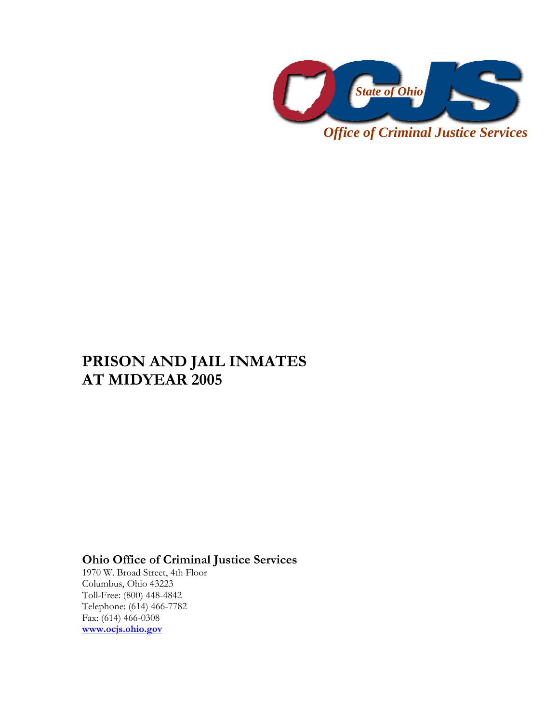

*Office of Criminal Justice Services* 

# **PRISON AND JAIL INMATES AT MIDYEAR 2005**

## **Ohio Office of Criminal Justice Services**

1970 W. Broad Street, 4th Floor Columbus, Ohio 43223 Toll-Free: (800) 448-4842 Telephone: (614) 466-7782 Fax: (614) 466-0308 **www.ocjs.ohio.gov**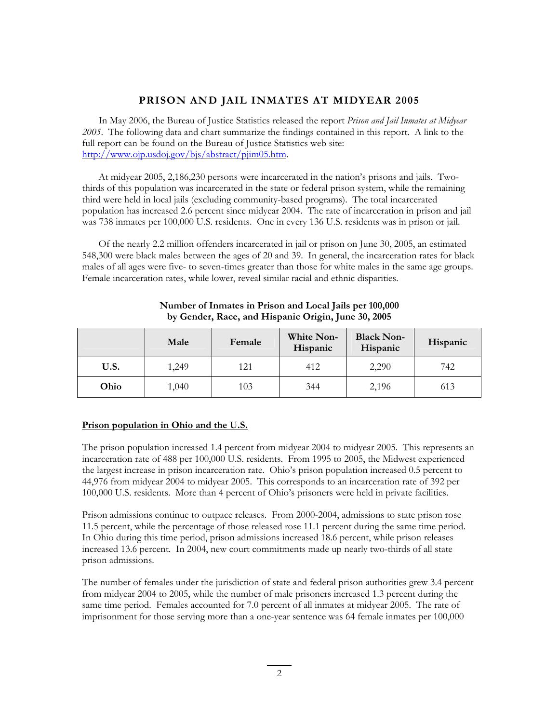### **PRISON AND JAIL INMATES AT MIDYEAR 2005**

In May 2006, the Bureau of Justice Statistics released the report *Prison and Jail Inmates at Midyear 2005*. The following data and chart summarize the findings contained in this report. A link to the full report can be found on the Bureau of Justice Statistics web site: http://www.ojp.usdoj.gov/bjs/abstract/pjim05.htm.

At midyear 2005, 2,186,230 persons were incarcerated in the nation's prisons and jails. Twothirds of this population was incarcerated in the state or federal prison system, while the remaining third were held in local jails (excluding community-based programs). The total incarcerated population has increased 2.6 percent since midyear 2004. The rate of incarceration in prison and jail was 738 inmates per 100,000 U.S. residents. One in every 136 U.S. residents was in prison or jail.

Of the nearly 2.2 million offenders incarcerated in jail or prison on June 30, 2005, an estimated 548,300 were black males between the ages of 20 and 39. In general, the incarceration rates for black males of all ages were five- to seven-times greater than those for white males in the same age groups. Female incarceration rates, while lower, reveal similar racial and ethnic disparities.

|      | Male  | Female | White Non-<br>Hispanic | <b>Black Non-</b><br>Hispanic | Hispanic |
|------|-------|--------|------------------------|-------------------------------|----------|
| U.S. | 1,249 | 121    | 412                    | 2,290                         | 742      |
| Ohio | 1,040 | 103    | 344                    | 2,196                         | 613      |

#### **Number of Inmates in Prison and Local Jails per 100,000 by Gender, Race, and Hispanic Origin, June 30, 2005**

#### **Prison population in Ohio and the U.S.**

The prison population increased 1.4 percent from midyear 2004 to midyear 2005. This represents an incarceration rate of 488 per 100,000 U.S. residents. From 1995 to 2005, the Midwest experienced the largest increase in prison incarceration rate. Ohio's prison population increased 0.5 percent to 44,976 from midyear 2004 to midyear 2005. This corresponds to an incarceration rate of 392 per 100,000 U.S. residents. More than 4 percent of Ohio's prisoners were held in private facilities.

Prison admissions continue to outpace releases. From 2000-2004, admissions to state prison rose 11.5 percent, while the percentage of those released rose 11.1 percent during the same time period. In Ohio during this time period, prison admissions increased 18.6 percent, while prison releases increased 13.6 percent. In 2004, new court commitments made up nearly two-thirds of all state prison admissions.

The number of females under the jurisdiction of state and federal prison authorities grew 3.4 percent from midyear 2004 to 2005, while the number of male prisoners increased 1.3 percent during the same time period. Females accounted for 7.0 percent of all inmates at midyear 2005. The rate of imprisonment for those serving more than a one-year sentence was 64 female inmates per 100,000